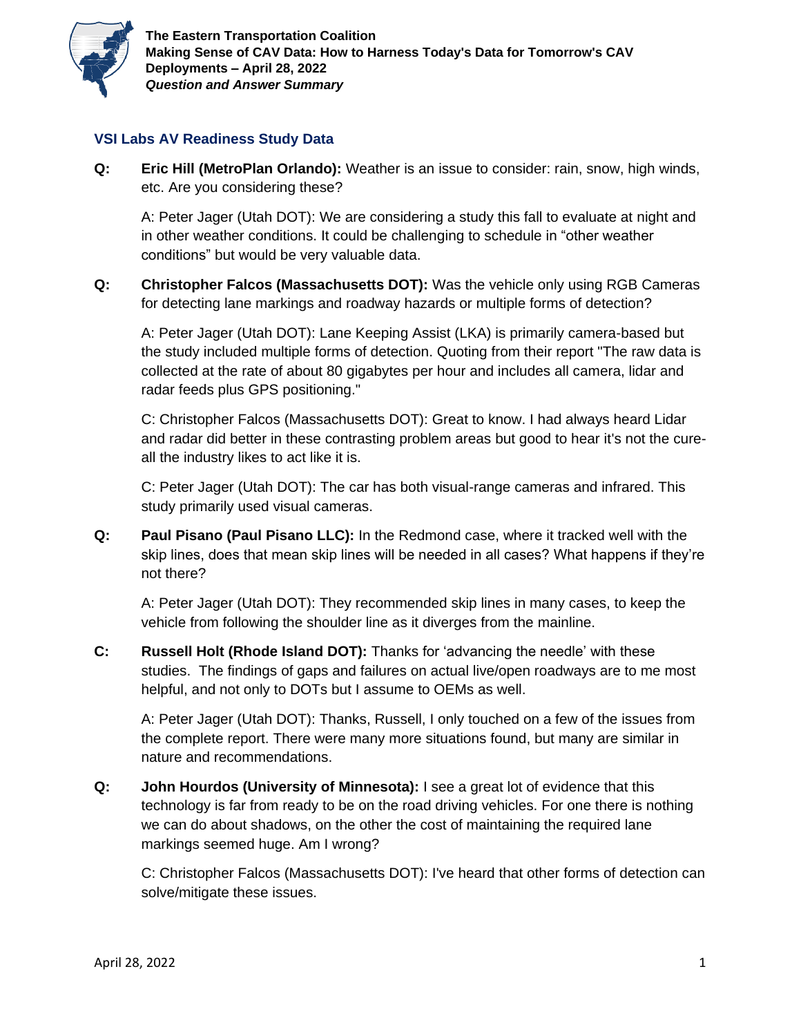

## **VSI Labs AV Readiness Study Data**

**Q: Eric Hill (MetroPlan Orlando):** Weather is an issue to consider: rain, snow, high winds, etc. Are you considering these?

A: Peter Jager (Utah DOT): We are considering a study this fall to evaluate at night and in other weather conditions. It could be challenging to schedule in "other weather conditions" but would be very valuable data.

**Q: Christopher Falcos (Massachusetts DOT):** Was the vehicle only using RGB Cameras for detecting lane markings and roadway hazards or multiple forms of detection?

A: Peter Jager (Utah DOT): Lane Keeping Assist (LKA) is primarily camera-based but the study included multiple forms of detection. Quoting from their report "The raw data is collected at the rate of about 80 gigabytes per hour and includes all camera, lidar and radar feeds plus GPS positioning."

C: Christopher Falcos (Massachusetts DOT): Great to know. I had always heard Lidar and radar did better in these contrasting problem areas but good to hear it's not the cureall the industry likes to act like it is.

C: Peter Jager (Utah DOT): The car has both visual-range cameras and infrared. This study primarily used visual cameras.

**Q: Paul Pisano (Paul Pisano LLC):** In the Redmond case, where it tracked well with the skip lines, does that mean skip lines will be needed in all cases? What happens if they're not there?

A: Peter Jager (Utah DOT): They recommended skip lines in many cases, to keep the vehicle from following the shoulder line as it diverges from the mainline.

**C: Russell Holt (Rhode Island DOT):** Thanks for 'advancing the needle' with these studies. The findings of gaps and failures on actual live/open roadways are to me most helpful, and not only to DOTs but I assume to OEMs as well.

A: Peter Jager (Utah DOT): Thanks, Russell, I only touched on a few of the issues from the complete report. There were many more situations found, but many are similar in nature and recommendations.

**Q: John Hourdos (University of Minnesota):** I see a great lot of evidence that this technology is far from ready to be on the road driving vehicles. For one there is nothing we can do about shadows, on the other the cost of maintaining the required lane markings seemed huge. Am I wrong?

C: Christopher Falcos (Massachusetts DOT): I've heard that other forms of detection can solve/mitigate these issues.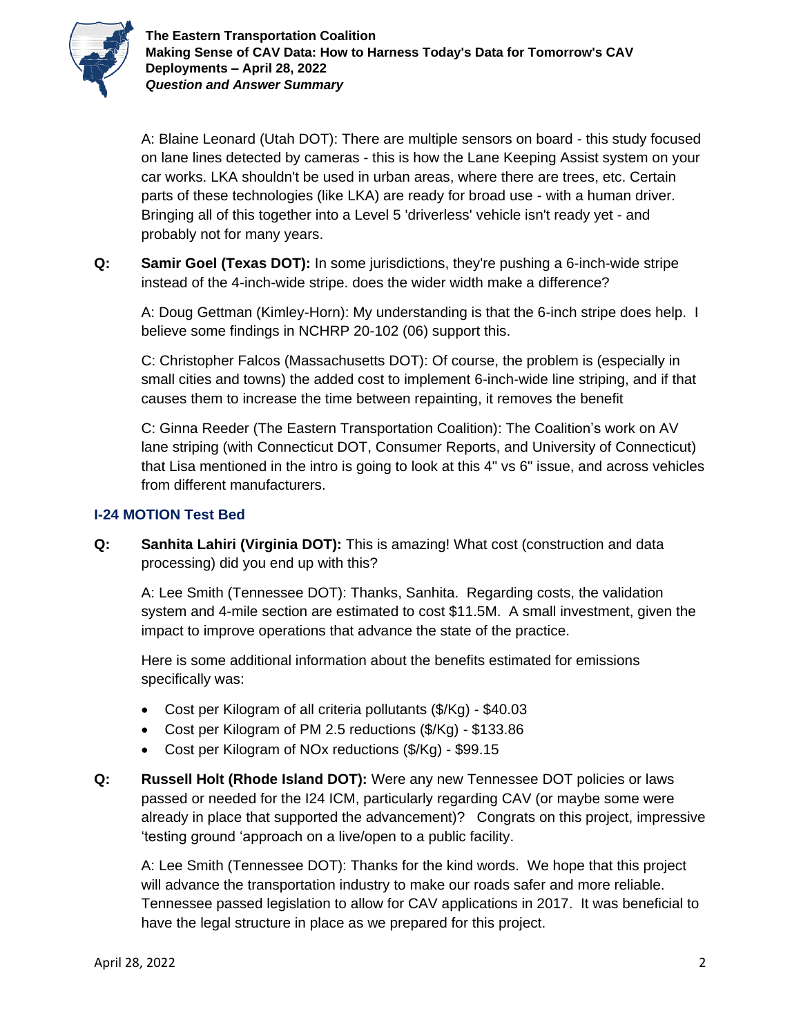

A: Blaine Leonard (Utah DOT): There are multiple sensors on board - this study focused on lane lines detected by cameras - this is how the Lane Keeping Assist system on your car works. LKA shouldn't be used in urban areas, where there are trees, etc. Certain parts of these technologies (like LKA) are ready for broad use - with a human driver. Bringing all of this together into a Level 5 'driverless' vehicle isn't ready yet - and probably not for many years.

**Q: Samir Goel (Texas DOT):** In some jurisdictions, they're pushing a 6-inch-wide stripe instead of the 4-inch-wide stripe. does the wider width make a difference?

A: Doug Gettman (Kimley-Horn): My understanding is that the 6-inch stripe does help. I believe some findings in NCHRP 20-102 (06) support this.

C: Christopher Falcos (Massachusetts DOT): Of course, the problem is (especially in small cities and towns) the added cost to implement 6-inch-wide line striping, and if that causes them to increase the time between repainting, it removes the benefit

C: Ginna Reeder (The Eastern Transportation Coalition): The Coalition's work on AV lane striping (with Connecticut DOT, Consumer Reports, and University of Connecticut) that Lisa mentioned in the intro is going to look at this 4" vs 6" issue, and across vehicles from different manufacturers.

## **I-24 MOTION Test Bed**

**Q: Sanhita Lahiri (Virginia DOT):** This is amazing! What cost (construction and data processing) did you end up with this?

A: Lee Smith (Tennessee DOT): Thanks, Sanhita. Regarding costs, the validation system and 4-mile section are estimated to cost \$11.5M. A small investment, given the impact to improve operations that advance the state of the practice.

Here is some additional information about the benefits estimated for emissions specifically was:

- Cost per Kilogram of all criteria pollutants (\$/Kg) \$40.03
- Cost per Kilogram of PM 2.5 reductions (\$/Kg) \$133.86
- Cost per Kilogram of NOx reductions (\$/Kg) \$99.15
- **Q: Russell Holt (Rhode Island DOT):** Were any new Tennessee DOT policies or laws passed or needed for the I24 ICM, particularly regarding CAV (or maybe some were already in place that supported the advancement)? Congrats on this project, impressive 'testing ground 'approach on a live/open to a public facility.

A: Lee Smith (Tennessee DOT): Thanks for the kind words. We hope that this project will advance the transportation industry to make our roads safer and more reliable. Tennessee passed legislation to allow for CAV applications in 2017. It was beneficial to have the legal structure in place as we prepared for this project.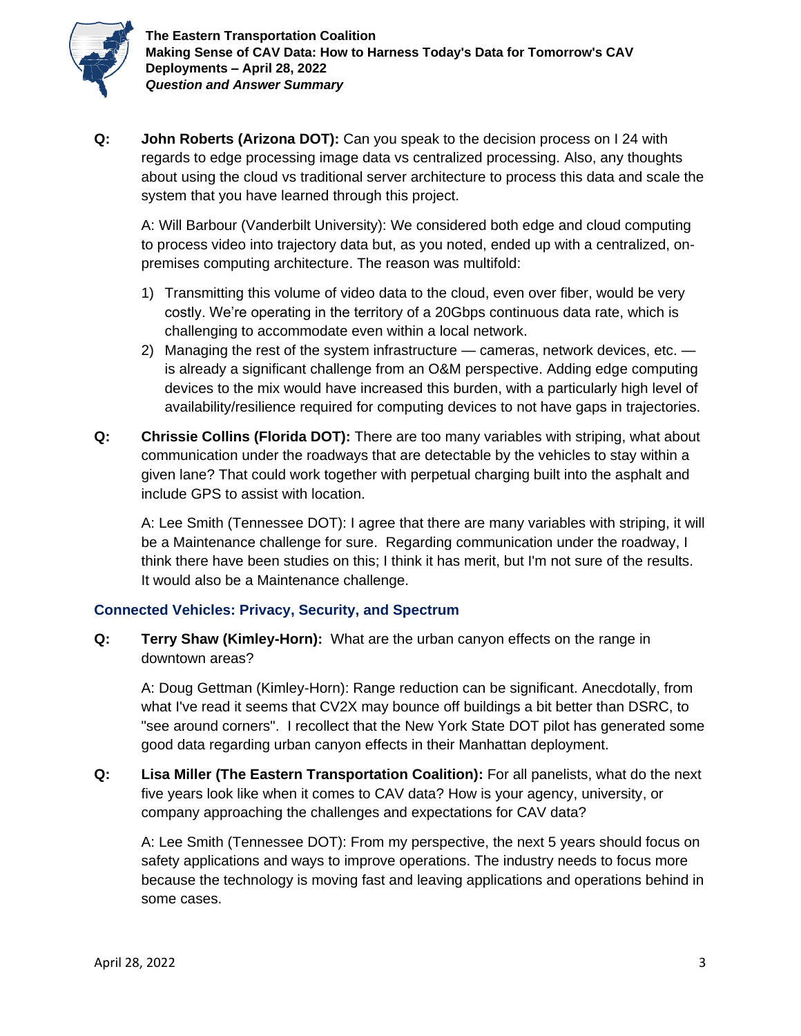

**Q: John Roberts (Arizona DOT):** Can you speak to the decision process on I 24 with regards to edge processing image data vs centralized processing. Also, any thoughts about using the cloud vs traditional server architecture to process this data and scale the system that you have learned through this project.

A: Will Barbour (Vanderbilt University): We considered both edge and cloud computing to process video into trajectory data but, as you noted, ended up with a centralized, onpremises computing architecture. The reason was multifold:

- 1) Transmitting this volume of video data to the cloud, even over fiber, would be very costly. We're operating in the territory of a 20Gbps continuous data rate, which is challenging to accommodate even within a local network.
- 2) Managing the rest of the system infrastructure  $-$  cameras, network devices, etc.  $$ is already a significant challenge from an O&M perspective. Adding edge computing devices to the mix would have increased this burden, with a particularly high level of availability/resilience required for computing devices to not have gaps in trajectories.
- **Q: Chrissie Collins (Florida DOT):** There are too many variables with striping, what about communication under the roadways that are detectable by the vehicles to stay within a given lane? That could work together with perpetual charging built into the asphalt and include GPS to assist with location.

A: Lee Smith (Tennessee DOT): I agree that there are many variables with striping, it will be a Maintenance challenge for sure. Regarding communication under the roadway, I think there have been studies on this; I think it has merit, but I'm not sure of the results. It would also be a Maintenance challenge.

## **Connected Vehicles: Privacy, Security, and Spectrum**

**Q: Terry Shaw (Kimley-Horn):** What are the urban canyon effects on the range in downtown areas?

A: Doug Gettman (Kimley-Horn): Range reduction can be significant. Anecdotally, from what I've read it seems that CV2X may bounce off buildings a bit better than DSRC, to "see around corners". I recollect that the New York State DOT pilot has generated some good data regarding urban canyon effects in their Manhattan deployment.

**Q: Lisa Miller (The Eastern Transportation Coalition):** For all panelists, what do the next five years look like when it comes to CAV data? How is your agency, university, or company approaching the challenges and expectations for CAV data?

A: Lee Smith (Tennessee DOT): From my perspective, the next 5 years should focus on safety applications and ways to improve operations. The industry needs to focus more because the technology is moving fast and leaving applications and operations behind in some cases.